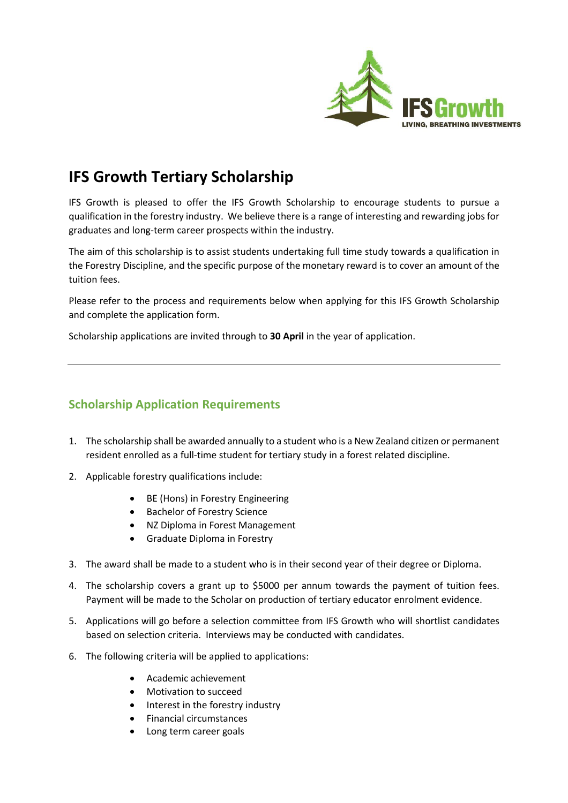

# **IFS Growth Tertiary Scholarship**

IFS Growth is pleased to offer the IFS Growth Scholarship to encourage students to pursue a qualification in the forestry industry. We believe there is a range of interesting and rewarding jobs for graduates and long-term career prospects within the industry.

The aim of this scholarship is to assist students undertaking full time study towards a qualification in the Forestry Discipline, and the specific purpose of the monetary reward is to cover an amount of the tuition fees.

Please refer to the process and requirements below when applying for this IFS Growth Scholarship and complete the application form.

Scholarship applications are invited through to **30 April** in the year of application.

# **Scholarship Application Requirements**

- 1. The scholarship shall be awarded annually to a student who is a New Zealand citizen or permanent resident enrolled as a full-time student for tertiary study in a forest related discipline.
- 2. Applicable forestry qualifications include:
	- BE (Hons) in Forestry Engineering
	- Bachelor of Forestry Science
	- NZ Diploma in Forest Management
	- Graduate Diploma in Forestry
- 3. The award shall be made to a student who is in their second year of their degree or Diploma.
- 4. The scholarship covers a grant up to \$5000 per annum towards the payment of tuition fees. Payment will be made to the Scholar on production of tertiary educator enrolment evidence.
- 5. Applications will go before a selection committee from IFS Growth who will shortlist candidates based on selection criteria. Interviews may be conducted with candidates.
- 6. The following criteria will be applied to applications:
	- Academic achievement
	- Motivation to succeed
	- Interest in the forestry industry
	- Financial circumstances
	- Long term career goals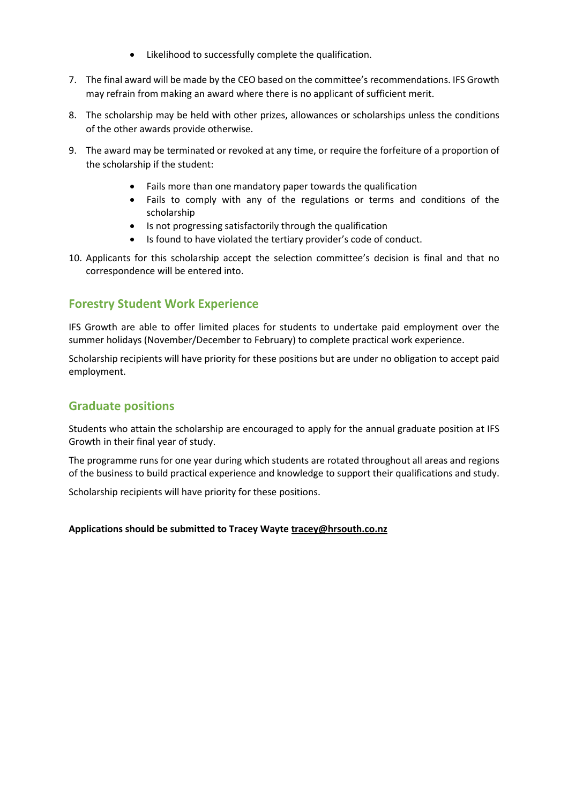- Likelihood to successfully complete the qualification.
- 7. The final award will be made by the CEO based on the committee's recommendations. IFS Growth may refrain from making an award where there is no applicant of sufficient merit.
- 8. The scholarship may be held with other prizes, allowances or scholarships unless the conditions of the other awards provide otherwise.
- 9. The award may be terminated or revoked at any time, or require the forfeiture of a proportion of the scholarship if the student:
	- Fails more than one mandatory paper towards the qualification
	- Fails to comply with any of the regulations or terms and conditions of the scholarship
	- Is not progressing satisfactorily through the qualification
	- Is found to have violated the tertiary provider's code of conduct.
- 10. Applicants for this scholarship accept the selection committee's decision is final and that no correspondence will be entered into.

## **Forestry Student Work Experience**

IFS Growth are able to offer limited places for students to undertake paid employment over the summer holidays (November/December to February) to complete practical work experience.

Scholarship recipients will have priority for these positions but are under no obligation to accept paid employment.

## **Graduate positions**

Students who attain the scholarship are encouraged to apply for the annual graduate position at IFS Growth in their final year of study.

The programme runs for one year during which students are rotated throughout all areas and regions of the business to build practical experience and knowledge to support their qualifications and study.

Scholarship recipients will have priority for these positions.

#### **Applications should be submitted to Tracey Wayte [tracey@hrsouth.co.nz](mailto:tracey@hrsouth.co.nz)**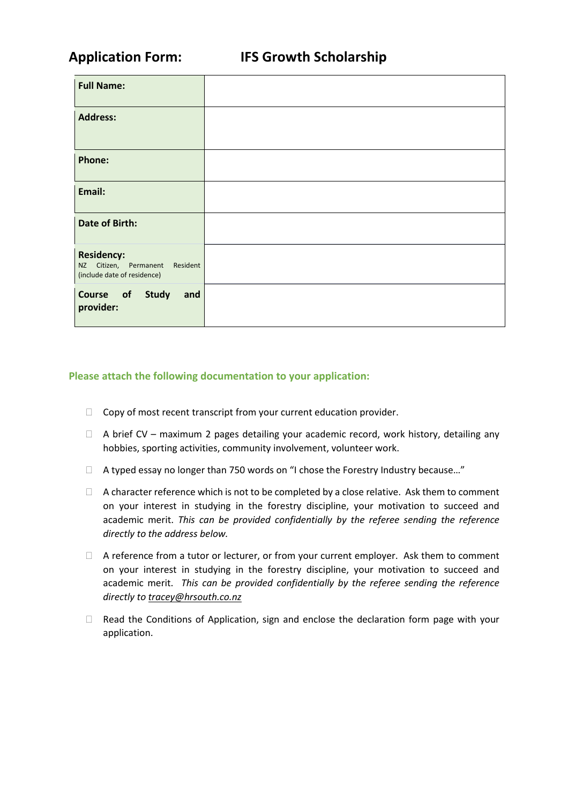| <b>Full Name:</b>                                                                     |  |
|---------------------------------------------------------------------------------------|--|
| <b>Address:</b>                                                                       |  |
| <b>Phone:</b>                                                                         |  |
| Email:                                                                                |  |
| <b>Date of Birth:</b>                                                                 |  |
| <b>Residency:</b><br>NZ Citizen, Permanent<br>Resident<br>(include date of residence) |  |
| Course of Study<br>and<br>provider:                                                   |  |

### **Please attach the following documentation to your application:**

- $\Box$  Copy of most recent transcript from your current education provider.
- $\Box$  A brief CV maximum 2 pages detailing your academic record, work history, detailing any hobbies, sporting activities, community involvement, volunteer work.
- □ A typed essay no longer than 750 words on "I chose the Forestry Industry because..."
- $\Box$  A character reference which is not to be completed by a close relative. Ask them to comment on your interest in studying in the forestry discipline, your motivation to succeed and academic merit. *This can be provided confidentially by the referee sending the reference directly to the address below.*
- $\Box$  A reference from a tutor or lecturer, or from your current employer. Ask them to comment on your interest in studying in the forestry discipline, your motivation to succeed and academic merit. *This can be provided confidentially by the referee sending the reference directly to [tracey@hrsouth.co.nz](mailto:tracey@hrsouth.co.nz)*
- □ Read the Conditions of Application, sign and enclose the declaration form page with your application.